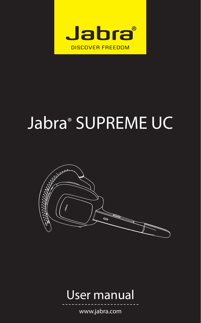

# Jabra® SUPREME UC





www.jabra.com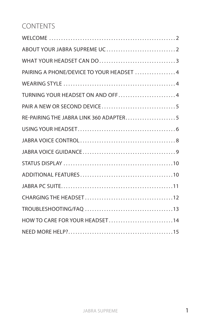# CONTENTS

| WHAT YOUR HEADSET CAN DO3                |
|------------------------------------------|
| PAIRING A PHONE/DEVICE TO YOUR HEADSET 4 |
|                                          |
| TURNING YOUR HEADSET ON AND OFF4         |
|                                          |
| RE-PAIRING THE JABRA LINK 360 ADAPTER5   |
|                                          |
|                                          |
|                                          |
|                                          |
|                                          |
|                                          |
|                                          |
|                                          |
| HOW TO CARE FOR YOUR HEADSET14           |
|                                          |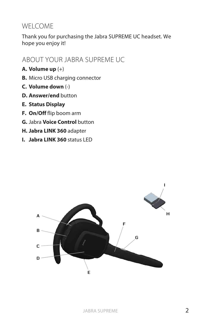# WELCOME

Thank you for purchasing the Jabra SUPREME UC headset. We hope you enjoy it!

# ABOUT YOUR JABRA SUPREME UC

- **A. Volume up** (+)
- **B.** Micro USB charging connector
- **C. Volume down** (-)
- **D. Answer/end** button
- **E. Status Display**
- **F. On/Off** flip boom arm
- **G.** Jabra **Voice Control** button
- **H. Jabra LINK 360** adapter
- **I. Jabra LINK 360** status LED

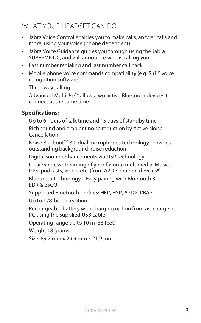# WHAT YOUR HEADSET CAN DO

- Jabra Voice Control enables you to make calls, answer calls and more, using your voice (phone dependent)
- Jabra Voice Guidance guides you through using the Jabra SUPREME UC, and will announce who is calling you
- Last number redialing and last number call back
- Mobile phone voice commands compatibility (e.g. SiriTM voice recognition software)
- Three way calling
- Advanced MultiUse™ allows two active Bluetooth devices to connect at the same time

# **Specifications:**

- Up to 6 hours of talk time and 15 days of standby time
- Rich sound and ambient noise reduction by Active Noise Cancellation
- Noise BlackoutTM 3.0 dual microphones technology provides outstanding background noise reduction
- Digital sound enhancements via DSP technology
- Clear wireless streaming of your favorite multimedia: Music, GPS, podcasts, video, etc. (from A2DP enabled devices\*)
- Bluetooth technology Easy pairing with Bluetooth 3.0 EDR & eSCO
- Supported Bluetooth profiles: HFP, HSP, A2DP, PBAP
- Up to 128-bit encryption
- Rechargeable battery with charging option from AC charger or PC using the supplied USB cable
- Operating range up to 10 m (33 feet)
- Weight 18 grams
- Size: 89.7 mm x 29.9 mm x 21.9 mm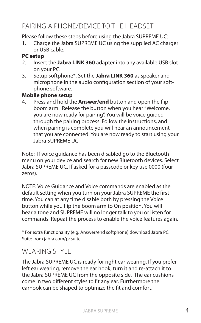# PAIRING A PHONE/DEVICE TO THE HEADSET

Please follow these steps before using the Jabra SUPREME UC:

1. Charge the Jabra SUPREME UC using the supplied AC charger or USB cable.

#### **PC setup**

- 2. Insert the **Jabra LINK 360** adapter into any available USB slot on your PC.
- 3. Setup softphone\*. Set the **Jabra LINK 360** as speaker and microphone in the audio configuration section of your softphone software.

#### **Mobile phone setup**

4. Press and hold the **Answer/end** button and open the flip boom arm. Release the button when you hear "Welcome, you are now ready for pairing". You will be voice guided through the pairing process. Follow the instructions, and when pairing is complete you will hear an announcement that you are connected. You are now ready to start using your Jabra SUPREME UC.

Note: If voice guidance has been disabled go to the Bluetooth menu on your device and search for new Bluetooth devices. Select Jabra SUPREME UC. If asked for a passcode or key use 0000 (four zeros).

NOTE: Voice Guidance and Voice commands are enabled as the default setting when you turn on your Jabra SUPREME the first time. You can at any time disable both by pressing the Voice button while you flip the boom arm to On position. You will hear a tone and SUPREME will no longer talk to you or listen for commands. Repeat the process to enable the voice features again.

\* For extra functionality (e.g. Answer/end softphone) download Jabra PC Suite from jabra.com/pcsuite

# WEARING STYLE

The Jabra SUPREME UC is ready for right ear wearing. If you prefer left ear wearing, remove the ear hook, turn it and re-attach it to the Jabra SUPREME UC from the opposite side. The ear cushions come in two different styles to fit any ear. Furthermore the earhook can be shaped to optimize the fit and comfort.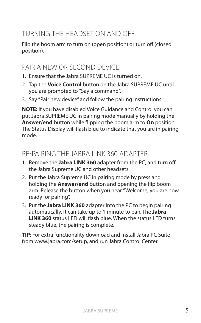# TURNING THE HEADSET ON AND OFF

Flip the boom arm to turn on (open position) or turn off (closed position).

# PAIR A NEW OR SECOND DEVICE

- 1. Ensure that the Jabra SUPREME UC is turned on.
- 2. Tap the **Voice Control** button on the Jabra SUPREME UC until you are prompted to "Say a command".
- 3. Say "Pair new device" and follow the pairing instructions.

**NOTE:** If you have disabled Voice Guidance and Control you can put Jabra SUPREME UC in pairing mode manually by holding the **Answer/end** button while flipping the boom arm to **On** position. The Status Display will flash blue to indicate that you are in pairing mode.

# RE-PAIRING THE JABRA LINK 360 ADAPTER

- 1. Remove the **Jabra LINK 360** adapter from the PC, and turn off the Jabra Supreme UC and other headsets.
- 2. Put the Jabra Supreme UC in pairing mode by press and holding the **Answer/end** button and opening the flip boom arm. Release the button when you hear "Welcome, you are now ready for pairing".
- 3. Put the **Jabra LINK 360** adapter into the PC to begin pairing automatically. It can take up to 1 minute to pair. The **Jabra LINK 360** status LED will flash blue. When the status LED turns steady blue, the pairing is complete.

**TIP**: For extra functionality download and install Jabra PC Suite from www.jabra.com/setup, and run Jabra Control Center.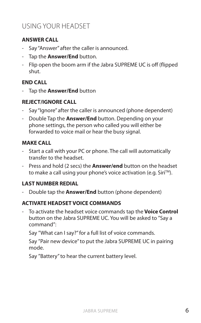# USING YOUR HEADSET

## **ANSWER CALL**

- Say "Answer" after the caller is announced.
- Tap the **Answer/End** button.
- Flip open the boom arm if the Jabra SUPREME UC is off (flipped shut.

## **END CALL**

- Tap the **Answer/End** button

## **REJECT/IGNORE CALL**

- Say "Ignore" after the caller is announced (phone dependent)
- Double Tap the **Answer/End** button. Depending on your phone settings, the person who called you will either be forwarded to voice mail or hear the busy signal.

## **MAKE CALL**

- Start a call with your PC or phone. The call will automatically transfer to the headset.
- Press and hold (2 secs) the **Answer/end** button on the headset to make a call using your phone's voice activation (e.g. Siri<sup>TM</sup>).

## **LAST NUMBER REDIAL**

- Double tap the **Answer/End** button (phone dependent)

#### **ACTIVATE HEADSET VOICE COMMANDS**

- To activate the headset voice commands tap the **Voice Control** button on the Jabra SUPREME UC. You will be asked to "Say a command":

Say "What can I say?" for a full list of voice commands.

Say "Pair new device" to put the Jabra SUPREME UC in pairing mode.

Say "Battery" to hear the current battery level.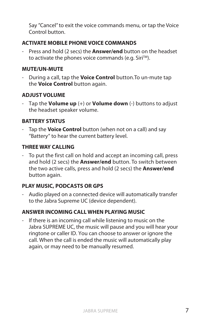Say "Cancel" to exit the voice commands menu, or tap the Voice Control button.

## **ACTIVATE MOBILE PHONE VOICE COMMANDS**

- Press and hold (2 secs) the **Answer/end** button on the headset to activate the phones voice commands (e.g. Siri™).

#### **MUTE/UN-MUTE**

- During a call, tap the **Voice Control** button.To un-mute tap the **Voice Control** button again.

## **ADJUST VOLUME**

- Tap the **Volume up** (+) or **Volume down** (-) buttons to adjust the headset speaker volume.

## **BATTERY STATUS**

- Tap the **Voice Control** button (when not on a call) and say "Battery" to hear the current battery level.

## **THREE WAY CALLING**

- To put the first call on hold and accept an incoming call, press and hold (2 secs) the **Answer/end** button. To switch between the two active calls, press and hold (2 secs) the **Answer/end** button again.

## **PLAY MUSIC, PODCASTS OR GPS**

- Audio played on a connected device will automatically transfer to the Jabra Supreme UC (device dependent).

## **ANSWER INCOMING CALL WHEN PLAYING MUSIC**

- If there is an incoming call while listening to music on the Jabra SUPREME UC, the music will pause and you will hear your ringtone or caller ID. You can choose to answer or ignore the call. When the call is ended the music will automatically play again, or may need to be manually resumed.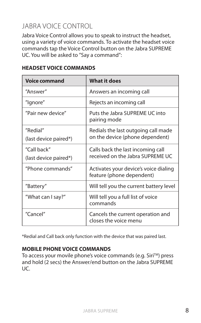# JABRA VOICE CONTROL

Jabra Voice Control allows you to speak to instruct the headset, using a variety of voice commands. To activate the headset voice commands tap the Voice Control button on the Jabra SUPREME UC. You will be asked to "Say a command":

| <b>Voice command</b>                 | <b>What it does</b>                                                    |
|--------------------------------------|------------------------------------------------------------------------|
| "Answer"                             | Answers an incoming call                                               |
| "Ignore"                             | Rejects an incoming call                                               |
| "Pair new device"                    | Puts the Jabra SUPREME UC into<br>pairing mode                         |
| "Redial"<br>(last device paired*)    | Redials the last outgoing call made<br>on the device (phone dependent) |
| "Call back"<br>(last device paired*) | Calls back the last incoming call<br>received on the Jabra SUPREME UC  |
| "Phone commands"                     | Activates your device's voice dialing<br>feature (phone dependent)     |
| "Battery"                            | Will tell you the current battery level                                |
| "What can I say?"                    | Will tell you a full list of voice<br>commands                         |
| "Cancel"                             | Cancels the current operation and<br>closes the voice menu             |

#### **HEADSET VOICE COMMANDS**

\*Redial and Call back only function with the device that was paired last.

#### **MOBILE PHONE VOICE COMMANDS**

To access your movile phone's voice commands (e.g. Siri™) press and hold (2 secs) the Answer/end button on the Jabra SUPREME UC.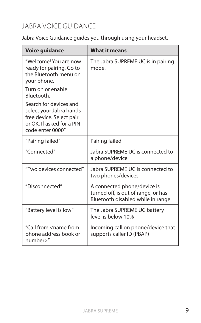# JABRA VOICE GUIDANCE

Jabra Voice Guidance guides you through using your headset.

| <b>Voice quidance</b>                                                                                                          | <b>What it means</b>                                                                                    |
|--------------------------------------------------------------------------------------------------------------------------------|---------------------------------------------------------------------------------------------------------|
| "Welcome! You are now<br>ready for pairing. Go to<br>the Bluetooth menu on<br>your phone.                                      | The Jabra SUPREME UC is in pairing<br>mode.                                                             |
| Turn on or enable<br>Bluetooth.                                                                                                |                                                                                                         |
| Search for devices and<br>select your Jabra hands<br>free device. Select pair<br>or OK. If asked for a PIN<br>code enter 0000" |                                                                                                         |
| "Pairing failed"                                                                                                               | Pairing failed                                                                                          |
| "Connected"                                                                                                                    | Jabra SUPREME UC is connected to<br>a phone/device                                                      |
| "Two devices connected"                                                                                                        | Jabra SUPREME UC is connected to<br>two phones/devices                                                  |
| "Disconnected"                                                                                                                 | A connected phone/device is<br>turned off, is out of range, or has<br>Bluetooth disabled while in range |
| "Battery level is low"                                                                                                         | The Jabra SUPREME UC battery<br>level is below 10%                                                      |
| "Call from <name from<br="">phone address book or<br/>number&gt;"</name>                                                       | Incoming call on phone/device that<br>supports caller ID (PBAP)                                         |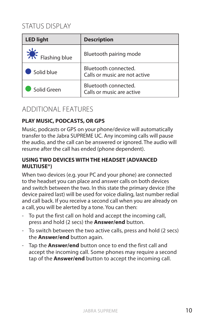# STATUS DISPLAY

| <b>LED light</b> | <b>Description</b>                                    |
|------------------|-------------------------------------------------------|
| Flashing blue    | Bluetooth pairing mode                                |
| Solid blue       | Bluetooth connected.<br>Calls or music are not active |
| Solid Green      | Bluetooth connected.<br>Calls or music are active     |

# ADDITIONAL FEATURES

## **PLAY MUSIC, PODCASTS, OR GPS**

Music, podcasts or GPS on your phone/device will automatically transfer to the Jabra SUPREME UC. Any incoming calls will pause the audio, and the call can be answered or ignored. The audio will resume after the call has ended (phone dependent).

#### **USING TWO DEVICES WITH THE HEADSET (ADVANCED MULTIUSE®)**

When two devices (e.g. your PC and your phone) are connected to the headset you can place and answer calls on both devices and switch between the two. In this state the primary device (the device paired last) will be used for voice dialing, last number redial and call back. If you receive a second call when you are already on a call, you will be alerted by a tone. You can then:

- To put the first call on hold and accept the incoming call, press and hold (2 secs) the **Answer/end** button.
- To switch between the two active calls, press and hold (2 secs) the **Answer/end** button again.
- Tap the **Answer/end** button once to end the first call and accept the incoming call. Some phones may require a second tap of the **Answer/end** button to accept the incoming call.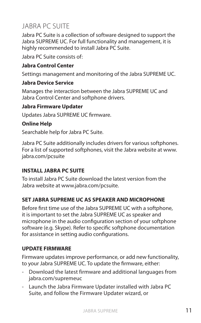# JABRA PC SUITE

Jabra PC Suite is a collection of software designed to support the Jabra SUPREME UC. For full functionality and management, it is highly recommended to install Jabra PC Suite.

Jabra PC Suite consists of:

## **Jabra Control Center**

Settings management and monitoring of the Jabra SUPREME UC.

## **Jabra Device Service**

Manages the interaction between the Jabra SUPREME UC and Jabra Control Center and softphone drivers.

#### **Jabra Firmware Updater**

Updates Jabra SUPREME UC firmware.

# **Online Help**

Searchable help for Jabra PC Suite.

Jabra PC Suite additionally includes drivers for various softphones. For a list of supported softphones, visit the Jabra website at www. jabra.com/pcsuite

## **INSTALL JABRA PC SUITE**

To install Jabra PC Suite download the latest version from the Jabra website at www.jabra.com/pcsuite.

## **SET JABRA SUPREME UC AS SPEAKER AND MICROPHONE**

Before first time use of the Jabra SUPREME UC with a softphone, it is important to set the Jabra SUPREME UC as speaker and microphone in the audio configuration section of your softphone software (e.g. Skype). Refer to specific softphone documentation for assistance in setting audio configurations.

#### **UPDATE FIRMWARE**

Firmware updates improve performance, or add new functionality, to your Jabra SUPREME UC. To update the firmware, either:

- Download the latest firmware and additional languages from jabra.com/supremeuc
- Launch the Jabra Firmware Updater installed with Jabra PC Suite, and follow the Firmware Updater wizard, or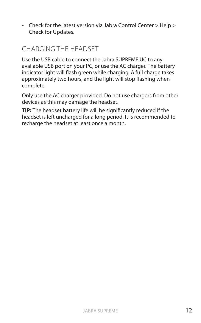- Check for the latest version via Jabra Control Center > Help > Check for Updates.

# CHARGING THE HEADSET

Use the USB cable to connect the Jabra SUPREME UC to any available USB port on your PC, or use the AC charger. The battery indicator light will flash green while charging. A full charge takes approximately two hours, and the light will stop flashing when complete.

Only use the AC charger provided. Do not use chargers from other devices as this may damage the headset.

**TIP:** The headset battery life will be significantly reduced if the headset is left uncharged for a long period. It is recommended to recharge the headset at least once a month.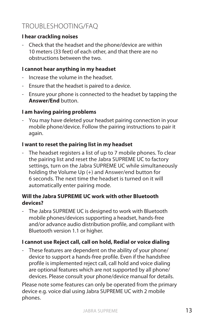# TROUBLESHOOTING/FAQ

#### **I hear crackling noises**

- Check that the headset and the phone/device are within 10 meters (33 feet) of each other, and that there are no obstructions between the two.

## **I cannot hear anything in my headset**

- Increase the volume in the headset.
- Ensure that the headset is paired to a device.
- Ensure your phone is connected to the headset by tapping the **Answer/End** button.

# **I am having pairing problems**

- You may have deleted your headset pairing connection in your mobile phone/device. Follow the pairing instructions to pair it again.

## **I want to reset the pairing list in my headset**

- The headset registers a list of up to 7 mobile phones. To clear the pairing list and reset the Jabra SUPREME UC to factory settings, turn on the Jabra SUPREME UC while simultaneously holding the Volume Up (+) and Answer/end button for 6 seconds. The next time the headset is turned on it will automatically enter pairing mode.

#### **Will the Jabra SUPREME UC work with other Bluetooth devices?**

- The Jabra SUPREME UC is designed to work with Bluetooth mobile phones/devices supporting a headset, hands-free and/or advance audio distribution profile, and compliant with Bluetooth version 1.1 or higher.

## **I cannot use Reject call, call on hold, Redial or voice dialing**

- These features are dependent on the ability of your phone/ device to support a hands-free profile. Even if the handsfree profile is implemented reject call, call hold and voice dialing are optional features which are not supported by all phone/ devices. Please consult your phone/device manual for details.

Please note some features can only be operated from the primary device e.g. voice dial using Jabra SUPREME UC with 2 mobile phones.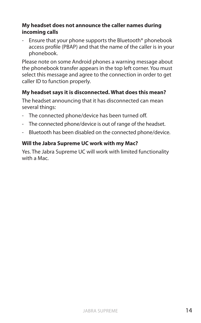## **My headset does not announce the caller names during incoming calls**

- Ensure that your phone supports the Bluetooth® phonebook access profile (PBAP) and that the name of the caller is in your phonebook.

Please note on some Android phones a warning message about the phonebook transfer appears in the top left corner. You must select this message and agree to the connection in order to get caller ID to function properly.

# **My headset says it is disconnected. What does this mean?**

The headset announcing that it has disconnected can mean several things:

- The connected phone/device has been turned off.
- The connected phone/device is out of range of the headset.
- Bluetooth has been disabled on the connected phone/device.

## **Will the Jabra Supreme UC work with my Mac?**

Yes. The Jabra Supreme UC will work with limited functionality with a Mac.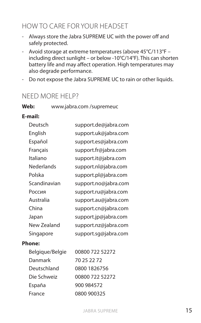# HOW TO CARE FOR YOUR HEADSET

- Always store the Jabra SUPREME UC with the power off and safely protected.
- Avoid storage at extreme temperatures (above 45°C/113°F including direct sunlight – or below -10°C/14°F). This can shorten battery life and may affect operation. High temperatures may also degrade performance.
- Do not expose the Jabra SUPREME UC to rain or other liquids.

# NEED MORE HELP?

**Web:** www.jabra.com /supremeuc

## **E-mail:**

| Deutsch      | support.de@jabra.com |
|--------------|----------------------|
| English      | support.uk@jabra.com |
| Español      | support.es@jabra.com |
| Français     | support.fr@jabra.com |
| Italiano     | support.it@jabra.com |
| Nederlands   | support.nl@jabra.com |
| Polska       | support.pl@jabra.com |
| Scandinavian | support.no@jabra.com |
| Россия       | support.ru@jabra.com |
| Australia    | support.au@jabra.com |
| China        | support.cn@jabra.com |
| Japan        | support.jp@jabra.com |
| New Zealand  | support.nz@jabra.com |
| Singapore    | support.sq@jabra.com |

#### **Phone:**

| Belgique/Belgie | 00800 722 52272 |
|-----------------|-----------------|
| Danmark         | 70 25 22 72     |
| Deutschland     | 0800 1826756    |
| Die Schweiz     | 00800 722 52272 |
| España          | 900 984572      |
| France          | 0800 900325     |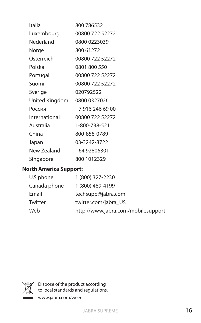| Italia         | 800 786532       |
|----------------|------------------|
| Luxembourg     | 00800 722 52272  |
| Nederland      | 0800 0223039     |
| Norge          | 800 61272        |
| Österreich     | 00800 722 52272  |
| Polska         | 0801 800 550     |
| Portugal       | 00800 722 52272  |
| Suomi          | 00800 722 52272  |
| Sverige        | 020792522        |
| United Kingdom | 0800 0327026     |
| Россия         | +7 916 246 69 00 |
| International  | 00800 722 52272  |
| Australia      | 1-800-738-521    |
| China          | 800-858-0789     |
| Japan          | 03-3242-8722     |
| New Zealand    | +64 92806301     |
| Singapore      | 800 1012329      |

# **North America Support:**

| 1 (800) 327-2230                   |
|------------------------------------|
| 1 (800) 489-4199                   |
| techsupp@jabra.com                 |
| twitter.com/jabra US               |
| http://www.jabra.com/mobilesupport |
|                                    |



Dispose of the product according to local standards and regulations. www.jabra.com/weee